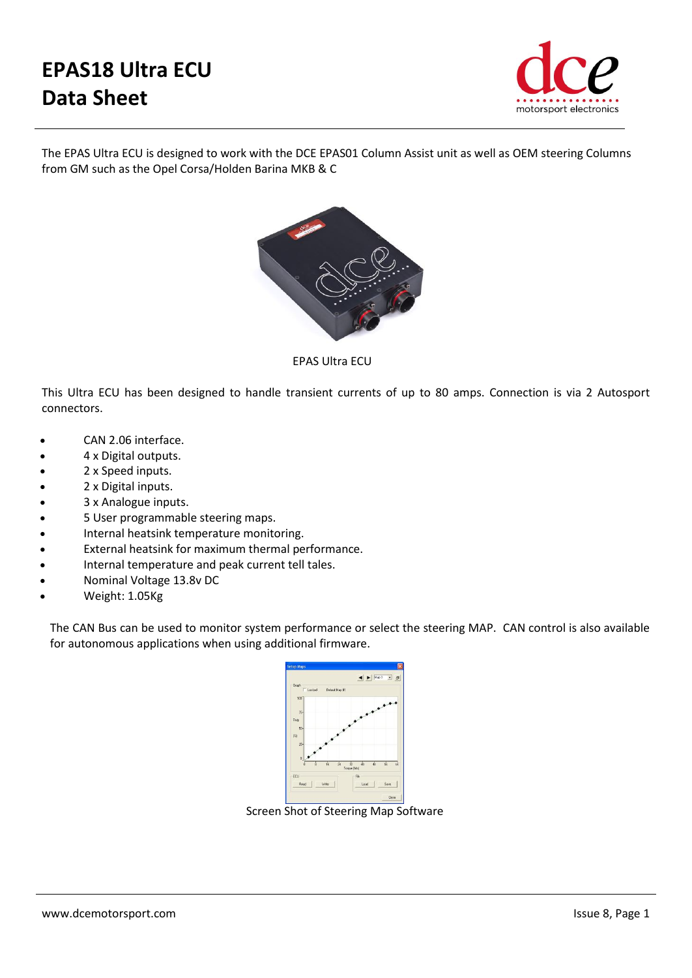## **EPAS18 Ultra ECU Data Sheet**



The EPAS Ultra ECU is designed to work with the DCE EPAS01 Column Assist unit as well as OEM steering Columns from GM such as the Opel Corsa/Holden Barina MKB & C



EPAS Ultra ECU

This Ultra ECU has been designed to handle transient currents of up to 80 amps. Connection is via 2 Autosport connectors.

- CAN 2.06 interface.
- 4 x Digital outputs.
- 2 x Speed inputs.
- 2 x Digital inputs.
- 3 x Analogue inputs.
- 5 User programmable steering maps.
- Internal heatsink temperature monitoring.
- External heatsink for maximum thermal performance.
- Internal temperature and peak current tell tales.
- Nominal Voltage 13.8v DC
- Weight: 1.05Kg

The CAN Bus can be used to monitor system performance or select the steering MAP. CAN control is also available for autonomous applications when using additional firmware.



Screen Shot of Steering Map Software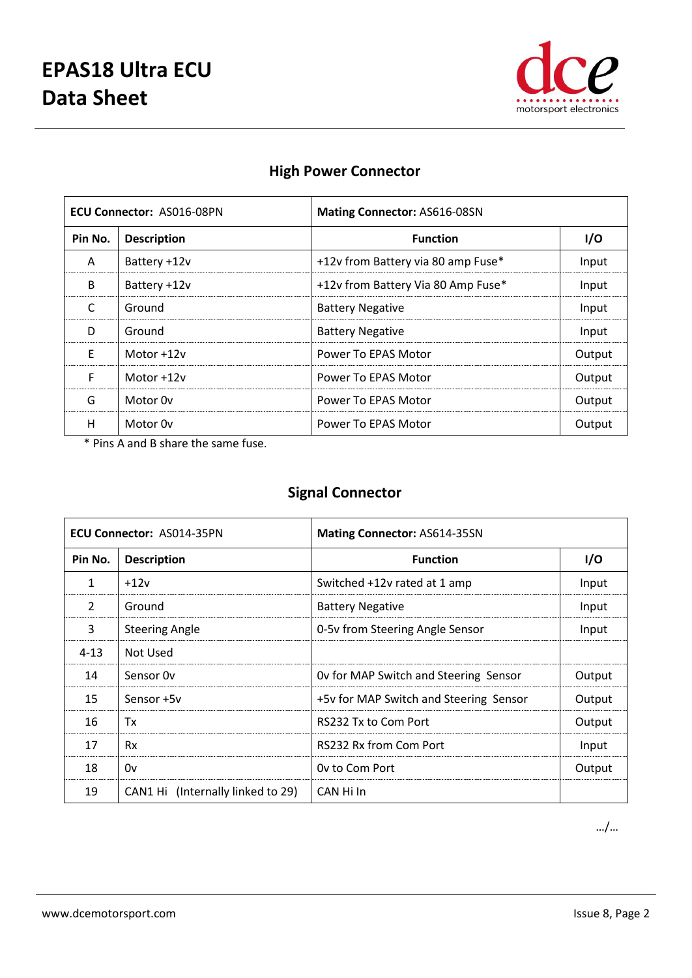

| <b>ECU Connector: AS016-08PN</b> |                     | <b>Mating Connector: AS616-08SN</b> |        |
|----------------------------------|---------------------|-------------------------------------|--------|
| Pin No.                          | <b>Description</b>  | <b>Function</b>                     | I/O    |
| A                                | Battery +12v        | +12v from Battery via 80 amp Fuse*  | Input  |
| B                                | Battery +12v        | +12v from Battery Via 80 Amp Fuse*  | Input  |
| C                                | Ground              | <b>Battery Negative</b>             | Input  |
| D                                | Ground              | <b>Battery Negative</b>             | Input  |
| E                                | Motor $+12v$        | Power To EPAS Motor                 | Output |
| F                                | Motor $+12v$        | Power To EPAS Motor                 | Output |
| G                                | Motor 0y            | Power To EPAS Motor                 | Output |
| H                                | Motor <sub>Ov</sub> | Power To EPAS Motor                 | Output |

## **High Power Connector**

\* Pins A and B share the same fuse.

## **Signal Connector**

| <b>ECU Connector: AS014-35PN</b> |                                   | Mating Connector: AS614-35SN           |        |
|----------------------------------|-----------------------------------|----------------------------------------|--------|
| Pin No.                          | <b>Description</b>                | <b>Function</b>                        | I/O    |
| $\mathbf{1}$                     | $+12v$                            | Switched +12v rated at 1 amp           | Input  |
| $\overline{2}$                   | Ground                            | <b>Battery Negative</b>                | Input  |
| 3                                | <b>Steering Angle</b>             | 0-5v from Steering Angle Sensor        | Input  |
| $4 - 13$                         | Not Used                          |                                        |        |
| 14                               | Sensor Ov                         | Ov for MAP Switch and Steering Sensor  | Output |
| 15                               | Sensor +5y                        | +5v for MAP Switch and Steering Sensor | Output |
| 16                               | Tx                                | RS232 Tx to Com Port                   | Output |
| 17                               | <b>Rx</b>                         | RS232 Rx from Com Port                 | Input  |
| 18                               | 0v                                | Ov to Com Port                         | Output |
| 19                               | CAN1 Hi (Internally linked to 29) | CAN Hi In                              |        |

…/…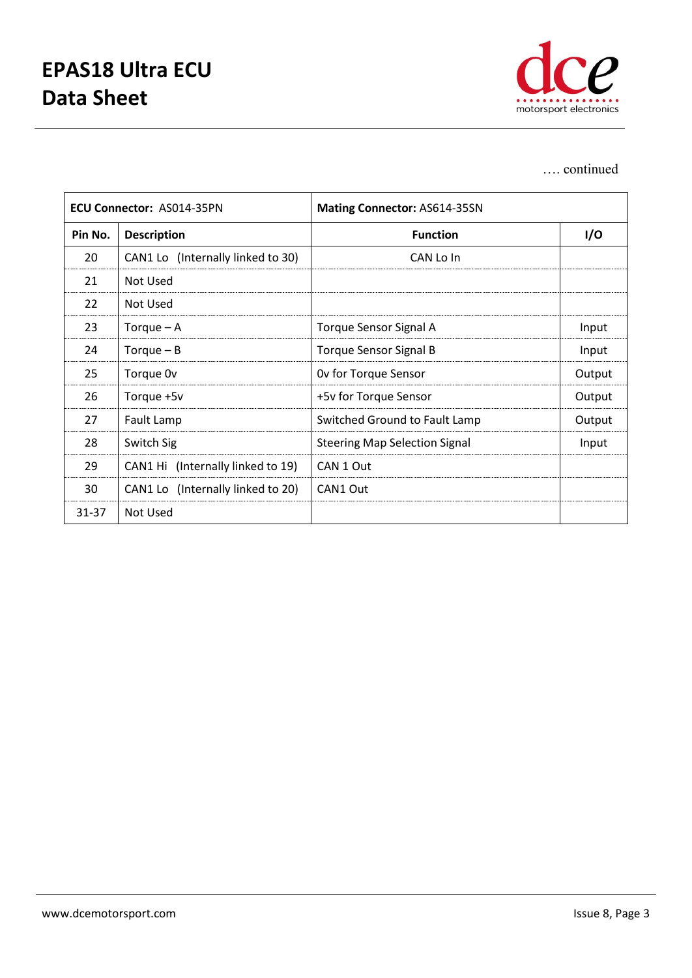

## …. continued

| <b>ECU Connector: AS014-35PN</b> |                                   | Mating Connector: AS614-35SN         |        |
|----------------------------------|-----------------------------------|--------------------------------------|--------|
| Pin No.                          | <b>Description</b>                | <b>Function</b>                      | I/O    |
| 20                               | CAN1 Lo (Internally linked to 30) | CAN Lo In                            |        |
| 21                               | Not Used                          |                                      |        |
| 22                               | Not Used                          |                                      |        |
| 23                               | Torque $-$ A                      | <b>Torque Sensor Signal A</b>        | Input  |
| 24                               | Torque $- B$                      | <b>Torque Sensor Signal B</b>        | Input  |
| 25                               | Torque 0v                         | Ov for Torque Sensor                 | Output |
| 26                               | Torque +5v                        | +5v for Torque Sensor                | Output |
| 27                               | Fault Lamp                        | Switched Ground to Fault Lamp        | Output |
| 28                               | Switch Sig                        | <b>Steering Map Selection Signal</b> | Input  |
| 29                               | CAN1 Hi (Internally linked to 19) | CAN 1 Out                            |        |
| 30                               | CAN1 Lo (Internally linked to 20) | CAN1 Out                             |        |
| 31-37                            | Not Used                          |                                      |        |